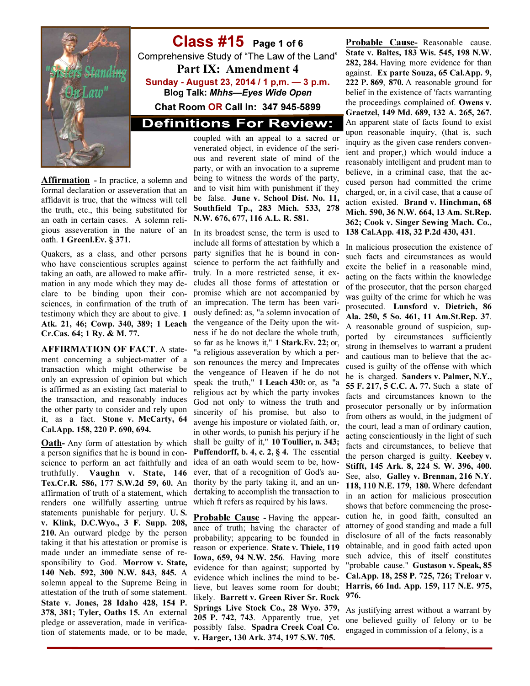

 $Class$  #15 Page 1 of 6 Comprehensive Study of "The Law of the Land" Part IX: Amendment 4 Sunday - August 23, 2014 / 1 p,m. — 3 p.m. Blog Talk: Mhhs—Eyes Wide Open Chat Room OR Call In: 347 945-5899

**Definitions For Review:** 

Affirmation - In practice, a solemn and formal declaration or asseveration that an affidavit is true, that the witness will tell the truth, etc., this being substituted for an oath in certain cases. A solemn religious asseveration in the nature of an oath. 1 Greenl.Ev. § 371.

Quakers, as a class, and other persons who have conscientious scruples against taking an oath, are allowed to make affirmation in any mode which they may declare to be binding upon their consciences, in confirmation of the truth of testimony which they are about to give. 1 Atk. 21, 46; Cowp. 340, 389; 1 Leach Cr.Cas. 64; 1 Ry. & M. 77.

AFFIRMATION OF FACT. A statement concerning a subject-matter of a transaction which might otherwise be only an expression of opinion but which is affirmed as an existing fact material to the transaction, and reasonably induces the other party to consider and rely upon it, as a fact. Stone v. McCarty, 64 Cal.App. 158, 220 P. 690, 694.

Oath- Any form of attestation by which a person signifies that he is bound in conscience to perform an act faithfully and truthfully. Vaughn v. State, 146 Tex.Cr.R. 586, 177 S.W.2d 59, 60. An affirmation of truth of a statement, which renders one willfully asserting untrue statements punishable for perjury. U. S. v. Klink, D.C.Wyo., 3 F. Supp. 208, 210. An outward pledge by the person taking it that his attestation or promise is made under an immediate sense of responsibility to God. Morrow v. State, 140 Neb. 592, 300 N.W. 843, 845. A solemn appeal to the Supreme Being in attestation of the truth of some statement. State v. Jones, 28 Idaho 428, 154 P. 378, 381; Tyler, Oaths 15. An external pledge or asseveration, made in verification of statements made, or to be made,

coupled with an appeal to a sacred or venerated object, in evidence of the serious and reverent state of mind of the party, or with an invocation to a supreme being to witness the words of the party, and to visit him with punishment if they be false. June v. School Dist. No. 11, Southfield Tp., 283 Mich. 533, 278 N.W. 676, 677, 116 A.L. R. 581.

In its broadest sense, the term is used to include all forms of attestation by which a party signifies that he is bound in conscience to perform the act faithfully and truly. In a more restricted sense, it excludes all those forms of attestation or promise which are not accompanied by an imprecation. The term has been variously defined: as, "a solemn invocation of the vengeance of the Deity upon the witness if he do not declare the whole truth, so far as he knows it," 1 Stark.Ev. 22; or, "a religious asseveration by which a person renounces the mercy and Imprecates the vengeance of Heaven if he do not speak the truth," 1 Leach 430: or, as "a religious act by which the party invokes God not only to witness the truth and sincerity of his promise, but also to avenge his imposture or violated faith, or, in other words, to punish his perjury if he shall be guilty of it," 10 Toullier, n. 343; Puffendorff, b. 4, c. 2, § 4. The essential idea of an oath would seem to be, however, that of a recognition of God's authority by the party taking it, and an undertaking to accomplish the transaction to which ft refers as required by his laws.

Probable Cause - Having the appearance of truth; having the character of probability; appearing to be founded in reason or experience. State v. Thiele, 119 Iowa, 659, 94 N.W. 256. Having more evidence for than against; supported by evidence which inclines the mind to believe, but leaves some room for doubt; likely. Barrett v. Green River Sr. Rock Springs Live Stock Co., 28 Wyo. 379, 205 P. 742, 743. Apparently true, yet possibly false. Spadra Creek Coal Co. v. Harger, 130 Ark. 374, 197 S.W. 705.

Probable Cause- Reasonable cause. State v. Baltes, 183 Wis. 545, 198 N.W. 282, 284. Having more evidence for than against. Ex parte Souza, 65 Cal.App. 9, 222 P. 869, 870. A reasonable ground for belief in the existence of 'facts warranting the proceedings complained of. Owens v. Graetzel, 149 Md. 689, 132 A. 265, 267. An apparent state of facts found to exist upon reasonable inquiry, (that is, such inquiry as the given case renders convenient and proper,) which would induce a reasonably intelligent and prudent man to believe, in a criminal case, that the accused person had committed the crime charged, or, in a civil case, that a cause of action existed. Brand v. Hinchman, 68 Mich. 590, 36 N.W. 664, 13 Am. St.Rep. 362; Cook v. Singer Sewing Mach. Co., 138 Cal.App. 418, 32 P.2d 430, 431.

In malicious prosecution the existence of such facts and circumstances as would excite the belief in a reasonable mind, acting on the facts within the knowledge of the prosecutor, that the person charged was guilty of the crime for which he was prosecuted. Lunsford v. Dietrich, 86 Ala. 250, 5 So. 461, 11 Am.St.Rep. 37. A reasonable ground of suspicion, supported by circumstances sufficiently strong in themselves to warrant a prudent and cautious man to believe that the accused is guilty of the offense with which he is charged. Sanders v. Palmer, N.Y., 55 F. 217, 5 C.C. A. 77. Such a state of facts and circumstances known to the prosecutor personally or by information from others as would, in the judgment of the court, lead a man of ordinary caution, acting conscientiously in the light of such facts and circumstances, to believe that the person charged is guilty. Keebey v. Stifft, 145 Ark. 8, 224 S. W. 396, 400. See, also, Galley v. Brennan, 216 N.Y. 118, 110 N.E. 179, 180. Where defendant in an action for malicious prosecution shows that before commencing the prosecution he, in good faith, consulted an attorney of good standing and made a full disclosure of all of the facts reasonably obtainable, and in good faith acted upon such advice, this of itself constitutes "probable cause." Gustason v. Speak, 85 Cal.App. 18, 258 P. 725, 726; Treloar v. Harris, 66 Ind. App. 159, 117 N.E. 975, 976.

As justifying arrest without a warrant by one believed guilty of felony or to be engaged in commission of a felony, is a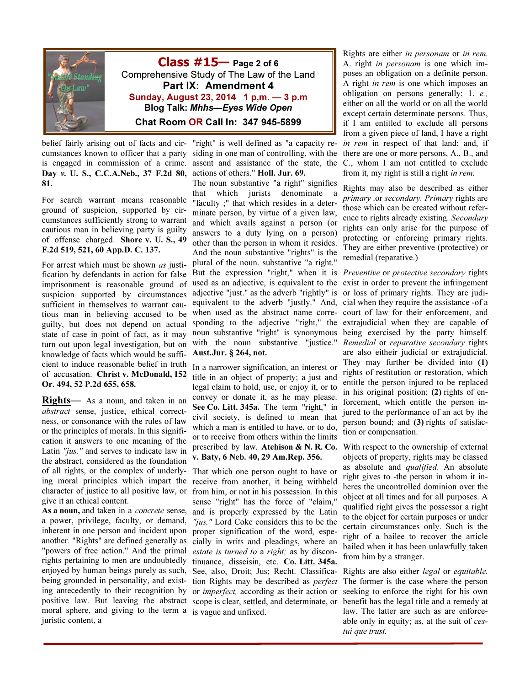

 $Class$   $#15$  Page 2 of 6 Comprehensive Study of The Law of the Land Part IX: Amendment 4 Sunday, August 23, 2014 1 p,m. — 3 p.m Blog Talk: Mhhs—Eyes Wide Open Chat Room OR Call In: 347 945-5899

belief fairly arising out of facts and cir-"right" is well defined as "a capacity re-Day v. U. S., C.C.A.Neb., 37 F.2d 80, 81.

For search warrant means reasonable ground of suspicion, supported by circumstances sufficiently strong to warrant cautious man in believing party is guilty of offense charged. Shore v. U. S., 49 F.2d 519, 521, 60 App.D. C. 137.

For arrest which must be shown *as* justification by defendants in action for false imprisonment is reasonable ground of suspicion supported by circumstances sufficient in themselves to warrant cautious man in believing accused to be guilty, but does not depend on actual state of case in point of fact, as it may turn out upon legal investigation, but on knowledge of facts which would be sufficient to induce reasonable belief in truth of accusation. Christ v. McDonald, 152 Or. 494, 52 P.2d 655, 658.

**Rights**— As a noun, and taken in an abstract sense, justice, ethical correctness, or consonance with the rules of law or the principles of morals. In this signification it answers to one meaning of the Latin "jus," and serves to indicate law in the abstract, considered as the foundation of all rights, or the complex of underlying moral principles which impart the character of justice to all positive law, or from him, or not in his possession. In this give it an ethical content.

As a noun, and taken in a *concrete* sense, a power, privilege, faculty, or demand, inherent in one person and incident upon another. "Rights" are defined generally as "powers of free action." And the primal rights pertaining to men are undoubtedly enjoyed by human beings purely as such, being grounded in personality, and existing antecedently to their recognition by positive law. But leaving the abstract scope is clear, settled, and determinate, or moral sphere, and giving to the term a is vague and unfixed. juristic content, a

cumstances known to officer that a party siding in one man of controlling, with the is engaged in commission of a crime. assent and assistance of the state, the actions of others." Holl. Jur. 69.

> The noun substantive "a right" signifies that which jurists denominate a "faculty ;" that which resides in a determinate person, by virtue of a given law, and which avails against a person (or answers to a duty lying on a person) other than the person in whom it resides. And the noun substantive "rights" is the plural of the noun. substantive "a right." used as an adjective, is equivalent to the adjective "just." as the adverb "rightly" is when used as the abstract name corresponding to the adjective "right," the noun substantive "right" is synonymous with the noun substantive "justice." Aust.Jur. § 264, not.

> In a narrower signification, an interest or title in an object of property; a just and legal claim to hold, use, or enjoy it, or to convey or donate it, as he may please. See Co. Litt. 345a. The term "right," in civil society, is defined to mean that which a man is entitled to have, or to do, or to receive from others within the limits prescribed by law. Atehison & N. R. Co. v. Baty, 6 Neb. 40, 29 Am.Rep. 356.

That which one person ought to have or receive from another, it being withheld sense "right" has the force of "claim," and is properly expressed by the Latin "jus." Lord Coke considers this to be the proper signification of the word, especially in writs and pleadings, where an estate is turned to a right; as by discontinuance, disseisin, etc. Co. Litt. 345a. See, also, Droit; Jus; Recht. Classification Rights may be described as perfect or imperfect, according as their action or

Rights are either in personam or in rem. A. right in personam is one which imposes an obligation on a definite person. A right in rem is one which imposes an obligation on persons generally; 1. e., either on all the world or on all the world except certain determinate persons. Thus, if I am entitled to exclude all persons from a given piece of land, I have a right in rem in respect of that land; and, if there are one or more persons, A., B., and C., whom I am not entitled to exclude from it, my right is still a right in rem.

Rights may also be described as either primary .or secondary. Primary rights are those which can be created without reference to rights already existing. Secondary rights can only arise for the purpose of protecting or enforcing primary rights. They are either preventive (protective) or remedial (reparative.)

But the expression "right," when it is *Preventive* or *protective secondary* rights equivalent to the adverb "justly." And, cial when they require the assistance -of a exist in order to prevent the infringement or loss of primary rights. They are judicourt of law for their enforcement, and extrajudicial when they are capable of being exercised by the party himself. Remedial or reparative secondary rights are also eitheir judicial or extrajudicial. They may further be divided into (1) rights of restitution or restoration, which entitle the person injured to be replaced in his original position; (2) rights of enforcement, which entitle the person injured to the performance of an act by the person bound; and (3) rights of satisfaction or compensation.

> With respect to the ownership of external objects of property, rights may be classed as absolute and qualified. An absolute right gives to -the person in whom it inheres the uncontrolled dominion over the object at all times and for all purposes. A qualified right gives the possessor a right to the object for certain purposes or under certain circumstances only. Such is the right of a bailee to recover the article bailed when it has been unlawfully taken from him by a stranger.

> Rights are also either legal or equitable. The former is the case where the person seeking to enforce the right for his own benefit has the legal title and a remedy at law. The latter are such as are enforceable only in equity; as, at the suit of cestui que trust.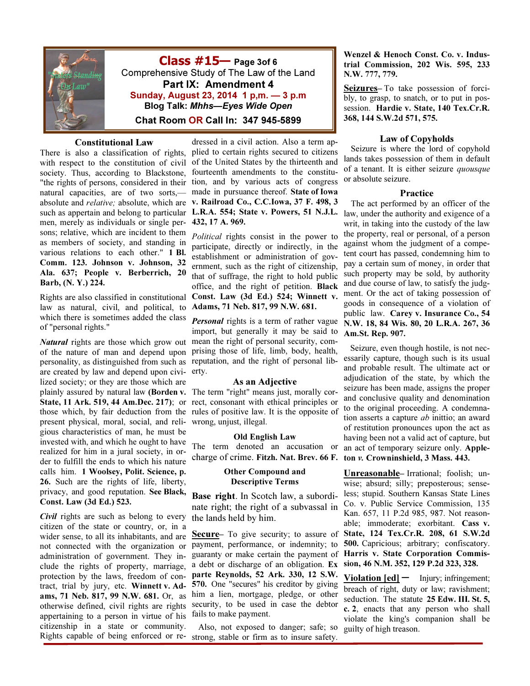

Class #15— Page 3of 6 Comprehensive Study of The Law of the Land Part IX: Amendment 4 Sunday, August 23, 2014 1 p,m. — 3 p.m Blog Talk: Mhhs—Eyes Wide Open Chat Room OR Call In: 347 945-5899

### Constitutional Law

with respect to the constitution of civil society. Thus, according to Blackstone, "the rights of persons, considered in their natural capacities, are of two sorts, absolute and *relative*; absolute, which are v. Railroad Co., C.C.Iowa, 37 F. 498, 3 such as appertain and belong to particular L.R.A. 554; State v. Powers, 51 N.J.L. men, merely as individuals or single persons; relative, which are incident to them as members of society, and standing in various relations to each other." 1 Bl. Comm. 123. Johnson v. Johnson, 32 Ala. 637; People v. Berberrich, 20 Barb, (N. Y.) 224.

Rights are also classified in constitutional law as natural, civil, and political, to which there is sometimes added the class of "personal rights."

of the nature of man and depend upon personality, as distinguished from such as are created by law and depend upon civilized society; or they are those which are plainly assured by natural law (Borden v. State, 11 Ark. 519, 44 Am.Dec. 217); or present physical, moral, social, and religious characteristics of man, he must be invested with, and which he ought to have realized for him in a jural society, in order to fulfill the ends to which his nature calls him. 1 Woolsey, Polit. Science, p. 26. Such are the rights of life, liberty, privacy, and good reputation. See Black, Const. Law (3d Ed.) 523.

Civil rights are such as belong to every citizen of the state or country, or, in a wider sense, to all its inhabitants, and are not connected with the organization or administration of government. They include the rights of property, marriage, protection by the laws, freedom of contract, trial by jury, etc. Winnett v. Adams, 71 Neb. 817, 99 N.W. 681. Or, as otherwise defined, civil rights are rights appertaining to a person in virtue of his citizenship in a state or community. Rights capable of being enforced or re-

There is also a classification of rights, plied to certain rights secured to citizens dressed in a civil action. Also a term apof the United States by the thirteenth and fourteenth amendments to the constitution, and by various acts of congress made in pursuance thereof. State of Iowa 432, 17 A. 969.

> Political rights consist in the power to participate, directly or indirectly, in the establishment or administration of government, such as the right of citizenship, that of suffrage, the right to hold public office, and the right of petition. Black Const. Law (3d Ed.) 524; Winnett v. Adams, 71 Neb. 817, 99 N.W. 681.

Natural rights are those which grow out mean the right of personal security, com-Personal rights is a term of rather vague import, but generally it may be said to prising those of life, limb, body, health, reputation, and the right of personal liberty.

### As an Adjective

those which, by fair deduction from the rules of positive law. It is the opposite of The term "right" means just, morally correct, consonant with ethical principles or wrong, unjust, illegal.

#### Old English Law

The term denoted an accusation or charge of crime. Fitzh. Nat. Brev. 66 F.

### Other Compound and Descriptive Terms

Base right. In Scotch law, a subordinate right; the right of a subvassal in the lands held by him.

Secure– To give security; to assure of payment, performance, or indemnity; to guaranty or make certain the payment of a debt or discharge of an obligation. Ex parte Reynolds, 52 Ark. 330, 12 S.W. 570. One "secures" his creditor by giving him a lien, mortgage, pledge, or other security, to be used in case the debtor fails to make payment.

 Also, not exposed to danger; safe; so strong, stable or firm as to insure safety.

Wenzel & Henoch Const. Co. v. Industrial Commission, 202 Wis. 595, 233 N.W. 777, 779.

Seizures– To take possession of forcibly, to grasp, to snatch, or to put in possession. Hardie v. State, 140 Tex.Cr.R. 368, 144 S.W.2d 571, 575.

### Law of Copyholds

 Seizure is where the lord of copyhold lands takes possession of them in default of a tenant. It is either seizure *quousque* or absolute seizure.

#### Practice

 The act performed by an officer of the law, under the authority and exigence of a writ, in taking into the custody of the law the property, real or personal, of a person against whom the judgment of a competent court has passed, condemning him to pay a certain sum of money, in order that such property may be sold, by authority and due course of law, to satisfy the judgment. Or the act of taking possession of goods in consequence of a violation of public law. Carey v. Insurance Co., 54 N.W. 18, 84 Wis. 80, 20 L.R.A. 267, 36 Am.St. Rep. 907.

 Seizure, even though hostile, is not necessarily capture, though such is its usual and probable result. The ultimate act or adjudication of the state, by which the seizure has been made, assigns the proper and conclusive quality and denomination to the original proceeding. A condemnation asserts a capture ab inittio; an award of restitution pronounces upon the act as having been not a valid act of capture, but an act of temporary seizure only. Appleton v. Crowninshield, 3 Mass. 443.

Unreasonable– Irrational; foolish; unwise; absurd; silly; preposterous; senseless; stupid. Southern Kansas State Lines Co. v. Public Service Commission, 135 Kan. 657, 11 P.2d 985, 987. Not reasonable; immoderate; exorbitant. Cass v. State, 124 Tex.Cr.R. 208, 61 S.W.2d 500. Capricious; arbitrary; confiscatory. Harris v. State Corporation Commission, 46 N.M. 352, 129 P.2d 323, 328.

**Violation**  $\text{[ed]}$  **–** Injury; infringement; breach of right, duty or law; ravishment; seduction. The statute 25 Edw. III. St. 5, c. 2, enacts that any person who shall violate the king's companion shall be guilty of high treason.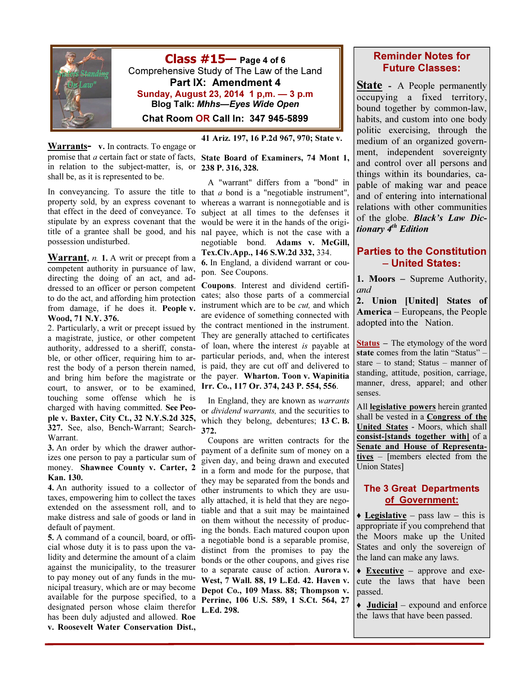

Class #15— Page 4 of 6 Comprehensive Study of The Law of the Land Part IX: Amendment 4 Sunday, August 23, 2014 1 p,m. — 3 p.m Blog Talk: Mhhs—Eyes Wide Open Chat Room OR Call In: 347 945-5899

Warrants- v. In contracts. To engage or in relation to the subject-matter, is, or 238 P. 316, 328. shall be, as it is represented to be.

property sold, by an express covenant to that effect in the deed of conveyance. To possession undisturbed.

**Warrant,**  $n$ **.** 1. A writ or precept from a competent authority in pursuance of law, directing the doing of an act, and addressed to an officer or person competent to do the act, and affording him protection from damage, if he does it. People v. Wood, 71 N.Y. 376.

2. Particularly, a writ or precept issued by a magistrate, justice, or other competent authority, addressed to a sheriff, constable, or other officer, requiring him to arrest the body of a person therein named, and bring him before the magistrate or court, to answer, or to be examined, touching some offense which he is charged with having committed. See People v. Baxter, City Ct., 32 N.Y.S.2d 325, 327. See, also, Bench-Warrant; Search-Warrant.

3. An order by which the drawer authorizes one person to pay a particular sum of money. Shawnee County v. Carter, 2 Kan. 130.

4. An authority issued to a collector of taxes, empowering him to collect the taxes extended on the assessment roll, and to make distress and sale of goods or land in default of payment.

5. A command of a council, board, or official whose duty it is to pass upon the validity and determine the amount of a claim against the municipality, to the treasurer to pay money out of any funds in the municipal treasury, which are or may become available for the purpose specified, to a designated person whose claim therefor has been duly adjusted and allowed. Roe v. Roosevelt Water Conservation Dist.,

41 Ariz. 197, 16 P.2d 967, 970; State v.

promise that a certain fact or state of facts, State Board of Examiners, 74 Mont 1,

In conveyancing. To assure the title to that  $a$  bond is a "negotiable instrument", stipulate by an express covenant that the would be were it in the hands of the origititle of a grantee shall be good, and his nal payee, which is not the case with a A "warrant" differs from a "bond" in whereas a warrant is nonnegotiable and is subject at all times to the defenses it negotiable bond. Adams v. McGill, Tex.Clv.App., 146 S.W.2d 332, 334.

> 6. In England, a dividend warrant or coupon. See Coupons.

> Coupons. Interest and dividend certificates; also those parts of a commercial instrument which are to be *cut*, and which are evidence of something connected with the contract mentioned in the instrument. They are generally attached to certificates of loan, where the interest is payable at particular periods, and, when the interest is paid, they are cut off and delivered to the payer. Wharton. Toon v. Wapinitia Irr. Co., 117 Or. 374, 243 P. 554, 556.

> In England, they are known as warrants or dividend warrants, and the securities to which they belong, debentures: 13 C.B. 372.

> Coupons are written contracts for the payment of a definite sum of money on a given day, and being drawn and executed in a form and mode for the purpose, that they may be separated from the bonds and other instruments to which they are usually attached, it is held that they are negotiable and that a suit may be maintained on them without the necessity of producing the bonds. Each matured coupon upon a negotiable bond is a separable promise, distinct from the promises to pay the bonds or the other coupons, and gives rise to a separate cause of action. Aurora v. West, 7 Wall. 88, 19 L.Ed. 42. Haven v. Depot Co., 109 Mass. 88; Thompson v. Perrine, 106 U.S. 589, 1 S.Ct. 564, 27 L.Ed. 298.

## Reminder Notes for Future Classes:

State - A People permanently occupying a fixed territory, bound together by common-law, habits, and custom into one body politic exercising, through the medium of an organized government, independent sovereignty and control over all persons and things within its boundaries, capable of making war and peace and of entering into international relations with other communities of the globe. Black's Law Dictionary  $4^{th}$  Edition

## Parties to the Constitution – United States:

1. Moors – Supreme Authority, and

2. Union [United] States of America – Europeans, the People adopted into the Nation.

Status – The etymology of the word state comes from the latin "Status" – stare – to stand; Status – manner of standing, attitude, position, carriage, manner, dress, apparel; and other senses.

All legislative powers herein granted shall be vested in a Congress of the United States - Moors, which shall consist-[stands together with] of a Senate and House of Representatives – [members elected from the Union States]

### The 3 Great Departments of Government:

 $\triangle$  Legislative – pass law – this is appropriate if you comprehend that the Moors make up the United States and only the sovereign of the land can make any laws.

 $\triangle$  **Executive** – approve and execute the laws that have been passed.

• **Judicial** – expound and enforce the laws that have been passed.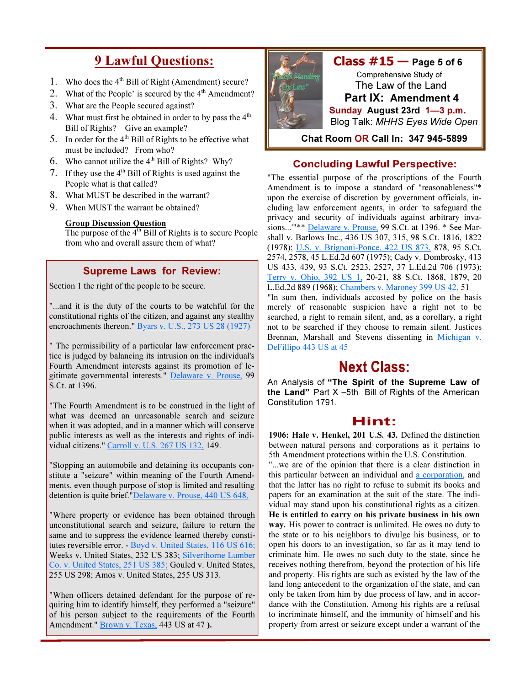# 9 Lawful Questions:

- 1. Who does the  $4<sup>th</sup>$  Bill of Right (Amendment) secure?
- 2. What of the People' is secured by the  $4<sup>th</sup>$  Amendment?
- 3. What are the People secured against?
- 4. What must first be obtained in order to by pass the  $4<sup>th</sup>$ Bill of Rights? Give an example?
- 5. In order for the  $4<sup>th</sup>$  Bill of Rights to be effective what must be included? From who?
- 6. Who cannot utilize the  $4<sup>th</sup>$  Bill of Rights? Why?
- 7. If they use the  $4<sup>th</sup>$  Bill of Rights is used against the People what is that called?
- 8. What MUST be described in the warrant?
- 9. When MUST the warrant be obtained?

### Group Discussion Question

The purpose of the 4<sup>th</sup> Bill of Rights is to secure People from who and overall assure them of what?

### Supreme Laws for Review:

Section 1 the right of the people to be secure.

"...and it is the duty of the courts to be watchful for the constitutional rights of the citizen, and against any stealthy encroachments thereon." Byars v. U.S., 273 US 28 (1927)

" The permissibility of a particular law enforcement practice is judged by balancing its intrusion on the individual's Fourth Amendment interests against its promotion of legitimate governmental interests." Delaware v. Prouse, 99 S.Ct. at 1396.

"The Fourth Amendment is to be construed in the light of what was deemed an unreasonable search and seizure when it was adopted, and in a manner which will conserve public interests as well as the interests and rights of individual citizens." Carroll v. U.S. 267 US 132, 149.

"Stopping an automobile and detaining its occupants constitute a "seizure" within meaning of the Fourth Amendments, even though purpose of stop is limited and resulting detention is quite brief."Delaware v. Prouse, 440 US 648,

"Where property or evidence has been obtained through unconstitutional search and seizure, failure to return the same and to suppress the evidence learned thereby constitutes reversible error. - Boyd v. United States, 116 US 616; Weeks v. United States, 232 US 383; Silverthorne Lumber Co. v. United States, 251 US 385; Gouled v. United States, 255 US 298; Amos v. United States, 255 US 313.

"When officers detained defendant for the purpose of requiring him to identify himself, they performed a "seizure" of his person subject to the requirements of the Fourth Amendment." Brown v. Texas, 443 US at 47).



DeFillipo 443 US at 45

 $Class$ #15 – Page 5 of 6 Comprehensive Study of The Law of the Land Part IX: Amendment 4 Sunday August 23rd 1—3 p.m. Blog Talk: MHHS Eyes Wide Open

Chat Room OR Call In: 347 945-5899

## **Concluding Lawful Perspective:**

"The essential purpose of the proscriptions of the Fourth Amendment is to impose a standard of "reasonableness"\* upon the exercise of discretion by government officials, including law enforcement agents, in order 'to safeguard the privacy and security of individuals against arbitrary invasions..."\*\* Delaware v. Prouse, 99 S.Ct. at 1396. \* See Marshall v. Barlows Inc., 436 US 307, 315, 98 S.Ct. 1816, 1822 (1978); U.S. v. Brignoni-Ponce, 422 US 873, 878, 95 S.Ct. 2574, 2578, 45 L.Ed.2d 607 (1975); Cady v. Dombrosky, 413 US 433, 439, 93 S.Ct. 2523, 2527, 37 L.Ed.2d 706 (1973); Terry v. Ohio, 392 US 1, 20-21, 88 S.Ct. 1868, 1879, 20 L.Ed.2d 889 (1968); Chambers v. Maroney 399 US 42, 51 "In sum then, individuals accosted by police on the basis merely of reasonable suspicion have a right not to be searched, a right to remain silent, and, as a corollary, a right not to be searched if they choose to remain silent. Justices Brennan, Marshall and Stevens dissenting in Michigan v.

## **Next Class:**

An Analysis of "The Spirit of the Supreme Law of the Land" Part X –5th Bill of Rights of the American Constitution 1791.

### Hint:

1906: Hale v. Henkel, 201 U.S. 43. Defined the distinction between natural persons and corporations as it pertains to 5th Amendment protections within the U.S. Constitution.

"...we are of the opinion that there is a clear distinction in this particular between an individual and a corporation, and that the latter has no right to refuse to submit its books and papers for an examination at the suit of the state. The individual may stand upon his constitutional rights as a citizen. He is entitled to carry on his private business in his own way. His power to contract is unlimited. He owes no duty to the state or to his neighbors to divulge his business, or to open his doors to an investigation, so far as it may tend to criminate him. He owes no such duty to the state, since he receives nothing therefrom, beyond the protection of his life and property. His rights are such as existed by the law of the land long antecedent to the organization of the state, and can only be taken from him by due process of law, and in accordance with the Constitution. Among his rights are a refusal to incriminate himself, and the immunity of himself and his property from arrest or seizure except under a warrant of the